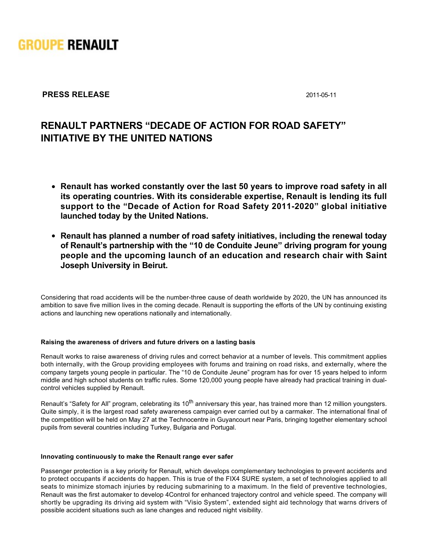

# **PRESS RELEASE** 2011-05-11

# **RENAULT PARTNERS "DECADE OF ACTION FOR ROAD SAFETY" INITIATIVE BY THE UNITED NATIONS**

- **Renault has worked constantly over the last 50 years to improve road safety in all its operating countries. With its considerable expertise, Renault is lending its full support to the "Decade of Action for Road Safety 20112020" global initiative launched today by the United Nations.**
- **Renault has planned a number of road safety initiatives, including the renewal today of Renault's partnership with the "10 de Conduite Jeune" driving program for young people and the upcoming launch of an education and research chair with Saint Joseph University in Beirut.**

Considering that road accidents will be the number-three cause of death worldwide by 2020, the UN has announced its ambition to save five million lives in the coming decade. Renault is supporting the efforts of the UN by continuing existing actions and launching new operations nationally and internationally.

#### **Raising the awareness of drivers and future drivers on a lasting basis**

Renault works to raise awareness of driving rules and correct behavior at a number of levels. This commitment applies both internally, with the Group providing employees with forums and training on road risks, and externally, where the company targets young people in particular. The "10 de Conduite Jeune" program has for over 15 years helped to inform middle and high school students on traffic rules. Some 120,000 young people have already had practical training in dualcontrol vehicles supplied by Renault.

Renault's "Safety for All" program, celebrating its 10<sup>th</sup> anniversary this year, has trained more than 12 million youngsters. Quite simply, it is the largest road safety awareness campaign ever carried out by a carmaker. The international final of the competition will be held on May 27 at the Technocentre in Guyancourt near Paris, bringing together elementary school pupils from several countries including Turkey, Bulgaria and Portugal.

#### **Innovating continuously to make the Renault range ever safer**

Passenger protection is a key priority for Renault, which develops complementary technologies to prevent accidents and to protect occupants if accidents do happen. This is true of the FIX4 SURE system, a set of technologies applied to all seats to minimize stomach injuries by reducing submarining to a maximum. In the field of preventive technologies, Renault was the first automaker to develop 4Control for enhanced trajectory control and vehicle speed. The company will shortly be upgrading its driving aid system with "Visio System", extended sight aid technology that warns drivers of possible accident situations such as lane changes and reduced night visibility.